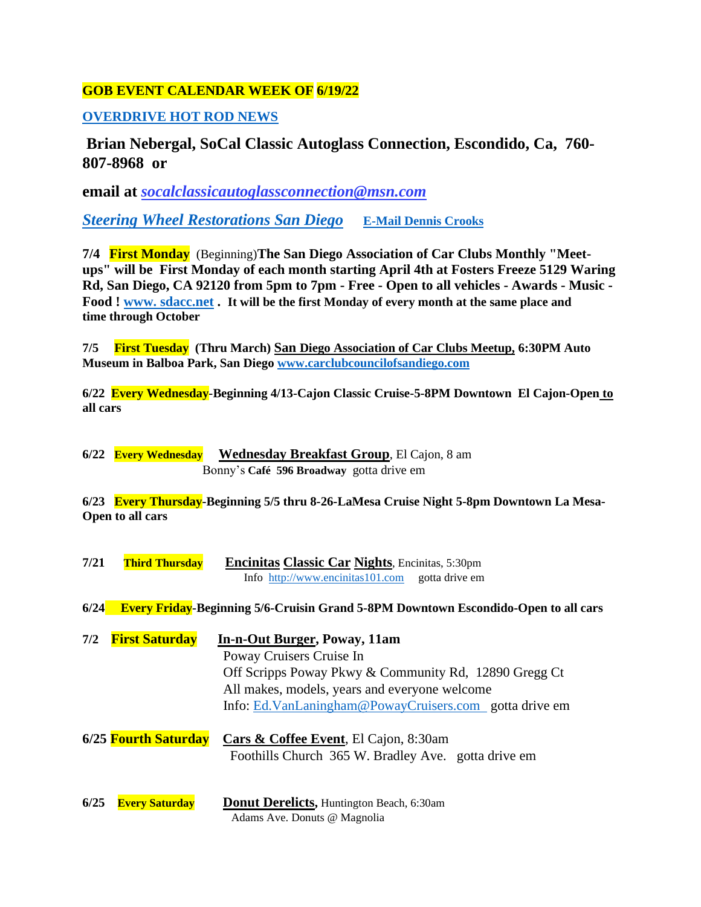## **GOB EVENT CALENDAR WEEK OF 6/19/22**

### **[OVERDRIVE HOT ROD NEWS](https://overdrivehotrodnews.com/)**

**Brian Nebergal, SoCal Classic Autoglass Connection, Escondido, Ca, 760- 807-8968 or**

**email at** *[socalclassicautoglassconnection@msn.com](mailto:socalclassicautoglassconnection@msn.com)*

*Steering Wheel [Restorations](https://qualityrestorations.com/) San Diego* **[E-Mail Dennis Crooks](mailto:dennisqualityrestorations@gmail.com)**

**7/4 First Monday** (Beginning)**The San Diego Association of Car Clubs Monthly "Meetups" will be First Monday of each month starting April 4th at Fosters Freeze 5129 Waring Rd, San Diego, CA 92120 from 5pm to 7pm - Free - Open to all vehicles - Awards - Music - Food ! [www. sdacc.net](http://www.sdacc.net/) . It will be the first Monday of every month at the same place and time through October**

**7/5 First Tuesday (Thru March) San Diego Association of Car Clubs Meetup, 6:30PM Auto Museum in Balboa Park, San Diego [www.carclubcouncilofsandiego.com](http://www.carclubcouncilofsandiego.com/)**

**6/22 Every Wednesday-Beginning 4/13-Cajon Classic Cruise-5-8PM Downtown El Cajon-Open to all cars**

**6/22 Every Wednesday Wednesday Breakfast Group**, El Cajon, 8 am Bonny's **Café 596 Broadway** gotta drive em

**6/23 Every Thursday-Beginning 5/5 thru 8-26-LaMesa Cruise Night 5-8pm Downtown La Mesa-Open to all cars**

| 7/21 | <b>Third Thursday</b> | <b>Encinitas Classic Car Nights, Encinitas, 5:30pm</b>                                |  |
|------|-----------------------|---------------------------------------------------------------------------------------|--|
|      |                       | Info $\frac{http://www.encinitas101.com}{http://www.encinitas101.com}$ gotta drive em |  |

**6/24 Every Friday-Beginning 5/6-Cruisin Grand 5-8PM Downtown Escondido-Open to all cars**

- **7/2 First Saturday In-n-Out Burger, Poway, 11am**  Poway Cruisers Cruise In Off Scripps Poway Pkwy & Community Rd, 12890 Gregg Ct All makes, models, years and everyone welcome Info: [Ed.VanLaningham@PowayCruisers.com](mailto:Ed.VanLaningham@PowayCruisers.com) gotta drive em
- **6/25 Fourth Saturday Cars & Coffee Event**, El Cajon, 8:30am Foothills Church 365 W. Bradley Ave. gotta drive em

**6/25 Every Saturday Donut Derelicts,** Huntington Beach, 6:30am Adams Ave. Donuts @ Magnolia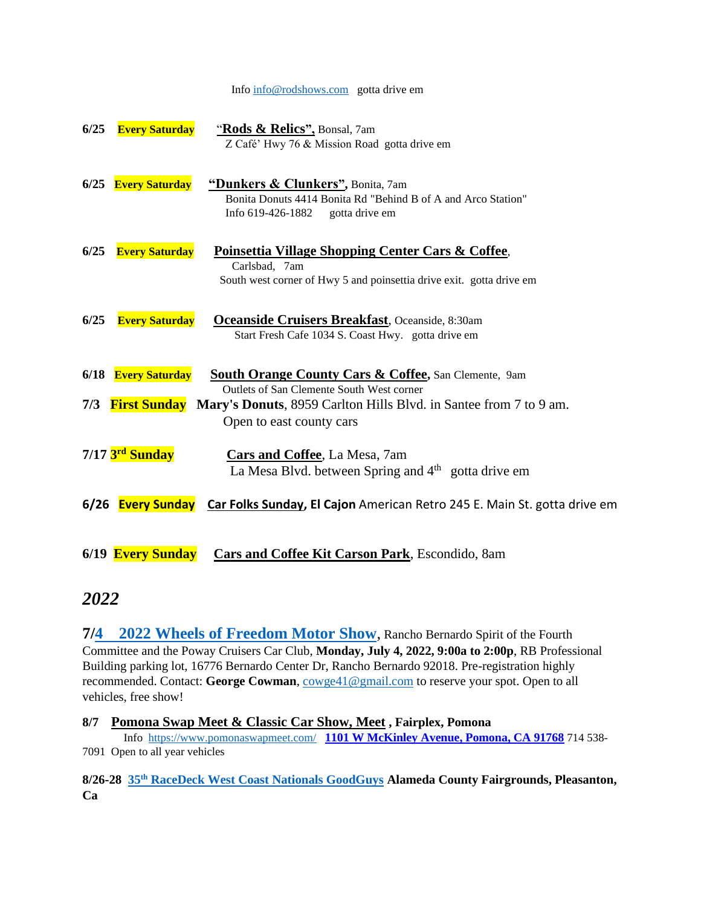#### Info [info@rodshows.com](mailto:info@rodshows.com) gotta drive em

| 6/25 | <b>Every Saturday</b> | "Rods & Relics", Bonsal, 7am<br>Z Café' Hwy 76 & Mission Road gotta drive em                                                                          |
|------|-----------------------|-------------------------------------------------------------------------------------------------------------------------------------------------------|
|      | 6/25 Every Saturday   | "Dunkers & Clunkers", Bonita, 7am<br>Bonita Donuts 4414 Bonita Rd "Behind B of A and Arco Station"<br>Info 619-426-1882<br>gotta drive em             |
| 6/25 | <b>Every Saturday</b> | <b>Poinsettia Village Shopping Center Cars &amp; Coffee,</b><br>Carlsbad, 7am<br>South west corner of Hwy 5 and poinsettia drive exit. gotta drive em |
| 6/25 | <b>Every Saturday</b> | <b>Oceanside Cruisers Breakfast, Oceanside, 8:30am</b><br>Start Fresh Cafe 1034 S. Coast Hwy. gotta drive em                                          |
|      | 6/18 Every Saturday   | <b>South Orange County Cars &amp; Coffee, San Clemente, 9am</b>                                                                                       |
| 7/3  | <b>First Sunday</b>   | Outlets of San Clemente South West corner<br>Mary's Donuts, 8959 Carlton Hills Blvd. in Santee from 7 to 9 am.<br>Open to east county cars            |
|      | 7/17 3rd Sunday       | <b>Cars and Coffee, La Mesa, 7am</b><br>La Mesa Blvd. between Spring and $4th$ gotta drive em                                                         |
|      |                       | 6/26 <b>Every Sunday</b> Car Folks Sunday, El Cajon American Retro 245 E. Main St. gotta drive em                                                     |
|      | 6/19 Every Sunday     | <b>Cars and Coffee Kit Carson Park</b> , Escondido, 8am                                                                                               |

## *2022*

**7[/4 2022 Wheels of Freedom Motor Show](http://www.powaycruisers.org/wp-content/uploads/2022/06/WOFCS-RB.pdf)**, Rancho Bernardo Spirit of the Fourth Committee and the Poway Cruisers Car Club, **Monday, July 4, 2022, 9:00a to 2:00p**, RB Professional Building parking lot, 16776 Bernardo Center Dr, Rancho Bernardo 92018. Pre-registration highly recommended. Contact: **George Cowman**, [cowge41@gmail.com](mailto:cowge41@gmail.com) to reserve your spot. Open to all vehicles, free show!

#### **8/7 Pomona Swap Meet & Classic Car Show, Meet , Fairplex, Pomona**

Info<https://www.pomonaswapmeet.com/>**[1101 W McKinley Avenue, Pomona, CA 91768](https://maps.google.com/maps?q=Gate+17+%4034.083243,-117.773216&hl=en&sll=35.830521,-85.978599&sspn=4.052333,7.174072&t=m&z=15&iwloc=A)** 714 538- 7091 Open to all year vehicles

**8/26-28 35th [RaceDeck West Coast Nationals GoodGuys](https://www.good-guys.com/) Alameda County Fairgrounds, Pleasanton, Ca**